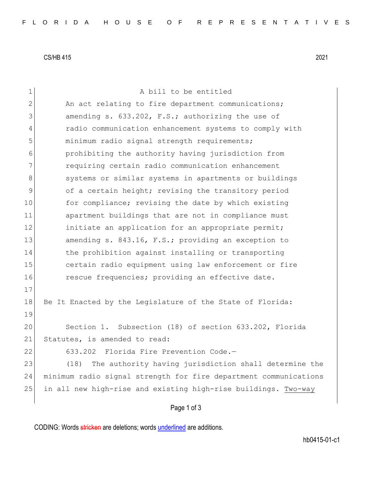CS/HB 415 2021

| $\mathbf 1$    | A bill to be entitled                                            |
|----------------|------------------------------------------------------------------|
| $\overline{2}$ | An act relating to fire department communications;               |
| 3              | amending s. 633.202, F.S.; authorizing the use of                |
| 4              | radio communication enhancement systems to comply with           |
| 5              | minimum radio signal strength requirements;                      |
| 6              | prohibiting the authority having jurisdiction from               |
| 7              | requiring certain radio communication enhancement                |
| 8              | systems or similar systems in apartments or buildings            |
| 9              | of a certain height; revising the transitory period              |
| 10             | for compliance; revising the date by which existing              |
| 11             | apartment buildings that are not in compliance must              |
| 12             | initiate an application for an appropriate permit;               |
| 13             | amending s. 843.16, F.S.; providing an exception to              |
| 14             | the prohibition against installing or transporting               |
| 15             | certain radio equipment using law enforcement or fire            |
| 16             | rescue frequencies; providing an effective date.                 |
| 17             |                                                                  |
| 18             | Be It Enacted by the Legislature of the State of Florida:        |
| 19             |                                                                  |
| 20             | Section 1. Subsection (18) of section 633.202, Florida           |
| 21             | Statutes, is amended to read:                                    |
| 22             | 633.202 Florida Fire Prevention Code.-                           |
| 23             | The authority having jurisdiction shall determine the<br>(18)    |
| 24             | minimum radio signal strength for fire department communications |
| 25             | in all new high-rise and existing high-rise buildings. Two-way   |
|                | Page 1 of 3                                                      |

CODING: Words stricken are deletions; words underlined are additions.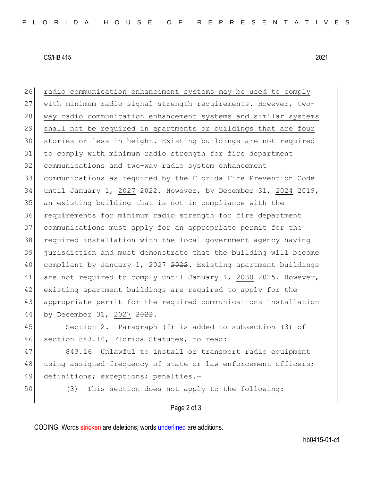## CS/HB 415 2021

26 radio communication enhancement systems may be used to comply with minimum radio signal strength requirements. However, two-28 way radio communication enhancement systems and similar systems shall not be required in apartments or buildings that are four stories or less in height. Existing buildings are not required to comply with minimum radio strength for fire department communications and two-way radio system enhancement communications as required by the Florida Fire Prevention Code 34 until January 1, 2027 2022. However, by December 31, 2024 2019, an existing building that is not in compliance with the requirements for minimum radio strength for fire department communications must apply for an appropriate permit for the required installation with the local government agency having jurisdiction and must demonstrate that the building will become 40 compliant by January 1, 2027 2022. Existing apartment buildings 41 are not required to comply until January 1, 2030 2025. However, existing apartment buildings are required to apply for the appropriate permit for the required communications installation 44 by December 31, 2027 2022.

45 Section 2. Paragraph (f) is added to subsection (3) of 46 section 843.16, Florida Statutes, to read:

47 843.16 Unlawful to install or transport radio equipment 48 using assigned frequency of state or law enforcement officers; 49 definitions; exceptions; penalties.-

50 (3) This section does not apply to the following:

## Page 2 of 3

CODING: Words stricken are deletions; words underlined are additions.